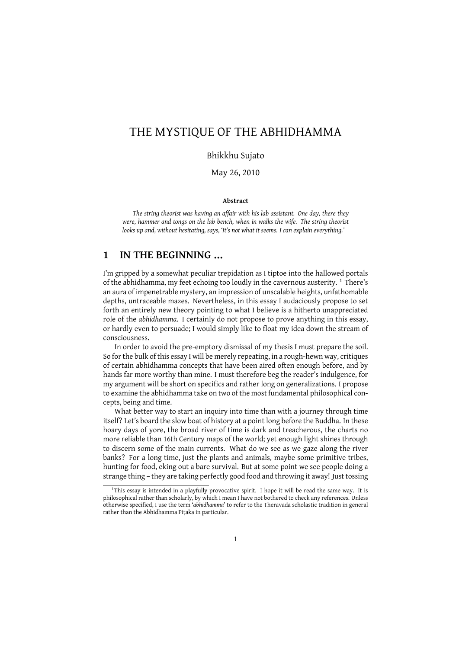# THE MYSTIQUE OF THE ABHIDHAMMA

### Bhikkhu Sujato

May 26, 2010

#### **Abstract**

*The string theorist was having an affair with his lab assistant. One day, there they were, hammer and tongs on the lab bench, when in walks the wife. The string theorist looks up and, without hesitating, says, 'It's not what it seems. I can explain everything.'*

# **1 IN THE BEGINNING …**

I'm gripped by a somewhat peculiar trepidation as I tiptoe into the hallowed portals of the abhidhamma, my feet echoing too loudly in the cavernous austerity.<sup>1</sup> There's an aura of impenetrable mystery, an impression of unscalable heights, unfathomable depths, untraceable mazes. Nevertheless, in this essay I audaciously propose to set forth an entirely new theory pointing to what I believe is a hitherto unappreciated role of the *abhidhamma*. I certainly do not propose to prove anything in this essay, or hardly even to persuade; I would simply like to float my idea down the stream of consciousness.

In order to avoid the pre-emptory dismissal of my thesis I must prepare the soil. So for the bulk of this essay I will be merely repeating, in a rough-hewn way, critiques of certain abhidhamma concepts that have been aired often enough before, and by hands far more worthy than mine. I must therefore beg the reader's indulgence, for my argument will be short on specifics and rather long on generalizations. I propose to examine the abhidhamma take on two of the most fundamental philosophical concepts, being and time.

What better way to start an inquiry into time than with a journey through time itself? Let's board the slow boat of history at a point long before the Buddha. In these hoary days of yore, the broad river of time is dark and treacherous, the charts no more reliable than 16th Century maps of the world; yet enough light shines through to discern some of the main currents. What do we see as we gaze along the river banks? For a long time, just the plants and animals, maybe some primitive tribes, hunting for food, eking out a bare survival. But at some point we see people doing a strange thing – they are taking perfectly good food and throwing it away! Just tossing

<sup>&</sup>lt;sup>1</sup>This essay is intended in a playfully provocative spirit. I hope it will be read the same way. It is philosophical rather than scholarly, by which I mean I have not bothered to check any references. Unless otherwise specified, I use the term '*abhidhamma*' to refer to the Theravada scholastic tradition in general rather than the Abhidhamma Piṭaka in particular.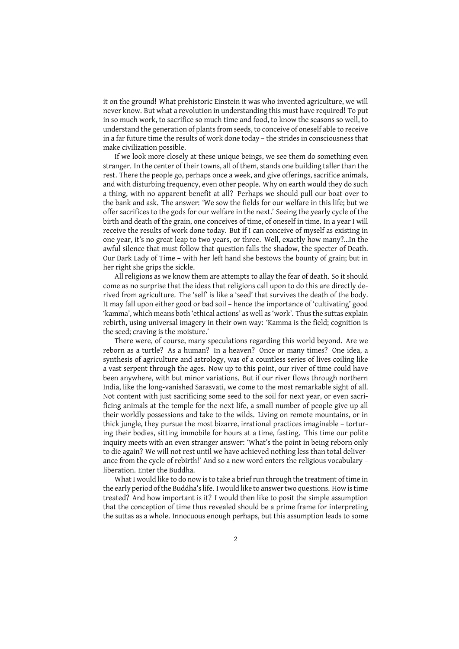it on the ground! What prehistoric Einstein it was who invented agriculture, we will never know. But what a revolution in understanding this must have required! To put in so much work, to sacrifice so much time and food, to know the seasons so well, to understand the generation of plants from seeds, to conceive of oneself able to receive in a far future time the results of work done today – the strides in consciousness that make civilization possible.

If we look more closely at these unique beings, we see them do something even stranger. In the center of their towns, all of them, stands one building taller than the rest. There the people go, perhaps once a week, and give offerings, sacrifice animals, and with disturbing frequency, even other people. Why on earth would they do such a thing, with no apparent benefit at all? Perhaps we should pull our boat over to the bank and ask. The answer: 'We sow the fields for our welfare in this life; but we offer sacrifices to the gods for our welfare in the next.' Seeing the yearly cycle of the birth and death of the grain, one conceives of time, of oneself in time. In a year I will receive the results of work done today. But if I can conceive of myself as existing in one year, it's no great leap to two years, or three. Well, exactly how many?…In the awful silence that must follow that question falls the shadow, the specter of Death. Our Dark Lady of Time – with her left hand she bestows the bounty of grain; but in her right she grips the sickle.

All religions as we know them are attempts to allay the fear of death. So it should come as no surprise that the ideas that religions call upon to do this are directly derived from agriculture. The 'self' is like a 'seed' that survives the death of the body. It may fall upon either good or bad soil – hence the importance of 'cultivating' good 'kamma', which means both 'ethical actions' as well as 'work'. Thus the suttas explain rebirth, using universal imagery in their own way: 'Kamma is the field; cognition is the seed; craving is the moisture.'

There were, of course, many speculations regarding this world beyond. Are we reborn as a turtle? As a human? In a heaven? Once or many times? One idea, a synthesis of agriculture and astrology, was of a countless series of lives coiling like a vast serpent through the ages. Now up to this point, our river of time could have been anywhere, with but minor variations. But if our river flows through northern India, like the long-vanished Sarasvati, we come to the most remarkable sight of all. Not content with just sacrificing some seed to the soil for next year, or even sacrificing animals at the temple for the next life, a small number of people give up all their worldly possessions and take to the wilds. Living on remote mountains, or in thick jungle, they pursue the most bizarre, irrational practices imaginable – torturing their bodies, sitting immobile for hours at a time, fasting. This time our polite inquiry meets with an even stranger answer: 'What's the point in being reborn only to die again? We will not rest until we have achieved nothing less than total deliverance from the cycle of rebirth!' And so a new word enters the religious vocabulary – liberation. Enter the Buddha.

What I would like to do now is to take a brief run through the treatment of time in the early period of the Buddha's life. I would like to answer two questions. How is time treated? And how important is it? I would then like to posit the simple assumption that the conception of time thus revealed should be a prime frame for interpreting the suttas as a whole. Innocuous enough perhaps, but this assumption leads to some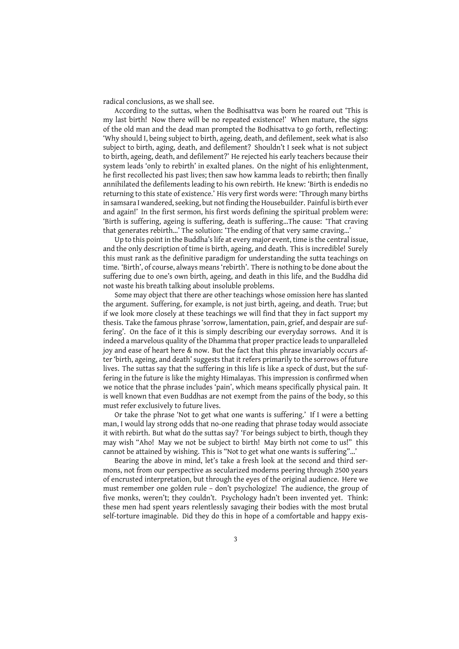radical conclusions, as we shall see.

According to the suttas, when the Bodhisattva was born he roared out 'This is my last birth! Now there will be no repeated existence!' When mature, the signs of the old man and the dead man prompted the Bodhisattva to go forth, reflecting: 'Why should I, being subject to birth, ageing, death, and defilement, seek what is also subject to birth, aging, death, and defilement? Shouldn't I seek what is not subject to birth, ageing, death, and defilement?' He rejected his early teachers because their system leads 'only to rebirth' in exalted planes. On the night of his enlightenment, he first recollected his past lives; then saw how kamma leads to rebirth; then finally annihilated the defilements leading to his own rebirth. He knew: 'Birth is endedis no returning to this state of existence.' His very first words were: 'Through many births in samsara I wandered, seeking, but not finding the Housebuilder. Painful is birth ever and again!' In the first sermon, his first words defining the spiritual problem were: 'Birth is suffering, ageing is suffering, death is suffering…The cause: 'That craving that generates rebirth…' The solution: 'The ending of that very same craving…'

Up to this point in the Buddha's life at every major event, time is the central issue, and the only description of time is birth, ageing, and death. This is incredible! Surely this must rank as the definitive paradigm for understanding the sutta teachings on time. 'Birth', of course, always means 'rebirth'. There is nothing to be done about the suffering due to one's own birth, ageing, and death in this life, and the Buddha did not waste his breath talking about insoluble problems.

Some may object that there are other teachings whose omission here has slanted the argument. Suffering, for example, is not just birth, ageing, and death. True; but if we look more closely at these teachings we will find that they in fact support my thesis. Take the famous phrase 'sorrow, lamentation, pain, grief, and despair are suffering'. On the face of it this is simply describing our everyday sorrows. And it is indeed a marvelous quality of the Dhamma that proper practice leads to unparalleled joy and ease of heart here & now. But the fact that this phrase invariably occurs after 'birth, ageing, and death' suggests that it refers primarily to the sorrows of future lives. The suttas say that the suffering in this life is like a speck of dust, but the suffering in the future is like the mighty Himalayas. This impression is confirmed when we notice that the phrase includes 'pain', which means specifically physical pain. It is well known that even Buddhas are not exempt from the pains of the body, so this must refer exclusively to future lives.

Or take the phrase 'Not to get what one wants is suffering.' If I were a betting man, I would lay strong odds that no-one reading that phrase today would associate it with rebirth. But what do the suttas say? 'For beings subject to birth, though they may wish "Aho! May we not be subject to birth! May birth not come to us!" this cannot be attained by wishing. This is "Not to get what one wants is suffering"…'

Bearing the above in mind, let's take a fresh look at the second and third sermons, not from our perspective as secularized moderns peering through 2500 years of encrusted interpretation, but through the eyes of the original audience. Here we must remember one golden rule – don't psychologize! The audience, the group of five monks, weren't; they couldn't. Psychology hadn't been invented yet. Think: these men had spent years relentlessly savaging their bodies with the most brutal self-torture imaginable. Did they do this in hope of a comfortable and happy exis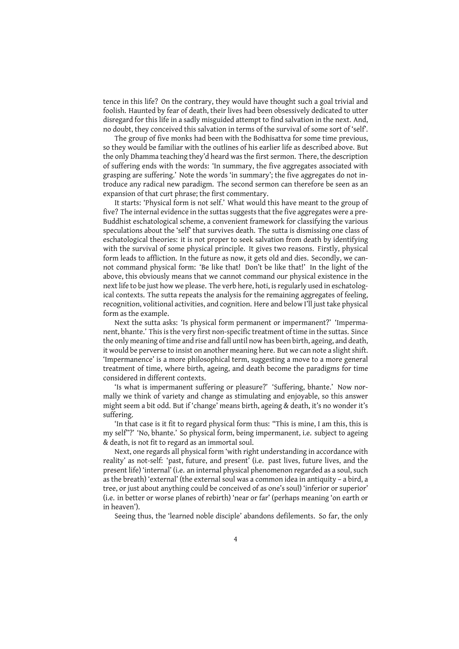tence in this life? On the contrary, they would have thought such a goal trivial and foolish. Haunted by fear of death, their lives had been obsessively dedicated to utter disregard for this life in a sadly misguided attempt to find salvation in the next. And, no doubt, they conceived this salvation in terms of the survival of some sort of 'self'.

The group of five monks had been with the Bodhisattva for some time previous, so they would be familiar with the outlines of his earlier life as described above. But the only Dhamma teaching they'd heard was the first sermon. There, the description of suffering ends with the words: 'In summary, the five aggregates associated with grasping are suffering.' Note the words 'in summary'; the five aggregates do not introduce any radical new paradigm. The second sermon can therefore be seen as an expansion of that curt phrase; the first commentary.

It starts: 'Physical form is not self.' What would this have meant to the group of five? The internal evidence in the suttas suggests that the five aggregates were a pre-Buddhist eschatological scheme, a convenient framework for classifying the various speculations about the 'self' that survives death. The sutta is dismissing one class of eschatological theories: it is not proper to seek salvation from death by identifying with the survival of some physical principle. It gives two reasons. Firstly, physical form leads to affliction. In the future as now, it gets old and dies. Secondly, we cannot command physical form: 'Be like that! Don't be like that!' In the light of the above, this obviously means that we cannot command our physical existence in the next life to be just how we please. The verb here, hoti, is regularly used in eschatological contexts. The sutta repeats the analysis for the remaining aggregates of feeling, recognition, volitional activities, and cognition. Here and below I'll just take physical form as the example.

Next the sutta asks: 'Is physical form permanent or impermanent?' 'Impermanent, bhante.' This is the very first non-specific treatment of time in the suttas. Since the only meaning of time and rise and fall until now has been birth, ageing, and death, it would be perverse to insist on another meaning here. But we can note a slight shift. 'Impermanence' is a more philosophical term, suggesting a move to a more general treatment of time, where birth, ageing, and death become the paradigms for time considered in different contexts.

'Is what is impermanent suffering or pleasure?' 'Suffering, bhante.' Now normally we think of variety and change as stimulating and enjoyable, so this answer might seem a bit odd. But if 'change' means birth, ageing & death, it's no wonder it's suffering.

'In that case is it fit to regard physical form thus: "This is mine, I am this, this is my self"?' 'No, bhante.' So physical form, being impermanent, i.e. subject to ageing & death, is not fit to regard as an immortal soul.

Next, one regards all physical form 'with right understanding in accordance with reality' as not-self: 'past, future, and present' (i.e. past lives, future lives, and the present life) 'internal' (i.e. an internal physical phenomenon regarded as a soul, such as the breath) 'external' (the external soul was a common idea in antiquity – a bird, a tree, or just about anything could be conceived of as one's soul) 'inferior or superior' (i.e. in better or worse planes of rebirth) 'near or far' (perhaps meaning 'on earth or in heaven').

Seeing thus, the 'learned noble disciple' abandons defilements. So far, the only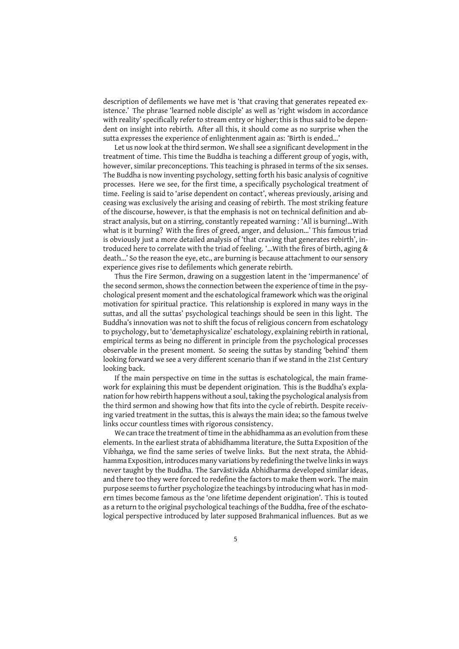description of defilements we have met is 'that craving that generates repeated existence.' The phrase 'learned noble disciple' as well as 'right wisdom in accordance with reality' specifically refer to stream entry or higher; this is thus said to be dependent on insight into rebirth. After all this, it should come as no surprise when the sutta expresses the experience of enlightenment again as: 'Birth is ended…'

Let us now look at the third sermon. We shall see a significant development in the treatment of time. This time the Buddha is teaching a different group of yogis, with, however, similar preconceptions. This teaching is phrased in terms of the six senses. The Buddha is now inventing psychology, setting forth his basic analysis of cognitive processes. Here we see, for the first time, a specifically psychological treatment of time. Feeling is said to 'arise dependent on contact', whereas previously, arising and ceasing was exclusively the arising and ceasing of rebirth. The most striking feature of the discourse, however, is that the emphasis is not on technical definition and abstract analysis, but on a stirring, constantly repeated warning : 'All is burning!…With what is it burning? With the fires of greed, anger, and delusion…' This famous triad is obviously just a more detailed analysis of 'that craving that generates rebirth', introduced here to correlate with the triad of feeling. '…With the fires of birth, aging & death…' So the reason the eye, etc., are burning is because attachment to our sensory experience gives rise to defilements which generate rebirth.

Thus the Fire Sermon, drawing on a suggestion latent in the 'impermanence' of the second sermon, shows the connection between the experience of time in the psychological present moment and the eschatological framework which was the original motivation for spiritual practice. This relationship is explored in many ways in the suttas, and all the suttas' psychological teachings should be seen in this light. The Buddha's innovation was not to shift the focus of religious concern from eschatology to psychology, but to 'demetaphysicalize' eschatology, explaining rebirth in rational, empirical terms as being no different in principle from the psychological processes observable in the present moment. So seeing the suttas by standing 'behind' them looking forward we see a very different scenario than if we stand in the 21st Century looking back.

If the main perspective on time in the suttas is eschatological, the main framework for explaining this must be dependent origination. This is the Buddha's explanation for how rebirth happens without a soul, taking the psychological analysis from the third sermon and showing how that fits into the cycle of rebirth. Despite receiving varied treatment in the suttas, this is always the main idea; so the famous twelve links occur countless times with rigorous consistency.

We can trace the treatment of time in the abhidhamma as an evolution from these elements. In the earliest strata of abhidhamma literature, the Sutta Exposition of the Vibhaṅga, we find the same series of twelve links. But the next strata, the Abhidhamma Exposition, introduces many variations by redefining the twelve links in ways never taught by the Buddha. The Sarvāstivāda Abhidharma developed similar ideas, and there too they were forced to redefine the factors to make them work. The main purpose seems to further psychologize the teachings by introducing what has in modern times become famous as the 'one lifetime dependent origination'. This is touted as a return to the original psychological teachings of the Buddha, free of the eschatological perspective introduced by later supposed Brahmanical influences. But as we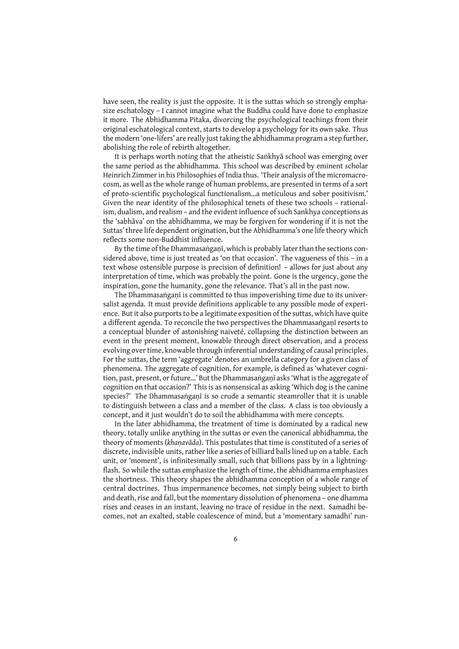have seen, the reality is just the opposite. It is the suttas which so strongly emphasize eschatology – I cannot imagine what the Buddha could have done to emphasize it more. The Abhidhamma Pitaka, divorcing the psychological teachings from their original eschatological context, starts to develop a psychology for its own sake. Thus the modern 'one-lifers' are really just taking the abhidhamma program a step further, abolishing the role of rebirth altogether.

It is perhaps worth noting that the atheistic Saṅkhyā school was emerging over the same period as the abhidhamma. This school was described by eminent scholar Heinrich Zimmer in his Philosophies of India thus. 'Their analysis of the micromacrocosm, as well as the whole range of human problems, are presented in terms of a sort of proto-scientific psychological functionalism…a meticulous and sober positivism.' Given the near identity of the philosophical tenets of these two schools – rationalism, dualism, and realism – and the evident influence of such Sankhya conceptions as the 'sabhāva' on the abhidhamma, we may be forgiven for wondering if it is not the Suttas' three life dependent origination, but the Abhidhamma's one life theory which reflects some non-Buddhist influence.

By the time of the Dhammasaṅgaṇī, which is probably later than the sections considered above, time is just treated as 'on that occasion'. The vagueness of this – in a text whose ostensible purpose is precision of definition! – allows for just about any interpretation of time, which was probably the point. Gone is the urgency, gone the inspiration, gone the humanity, gone the relevance. That's all in the past now.

The Dhammasaṅgaṇī is committed to thus impoverishing time due to its universalist agenda. It must provide definitions applicable to any possible mode of experience. But it also purports to be a legitimate exposition of the suttas, which have quite a different agenda. To reconcile the two perspectives the Dhammasaṅgaṇī resorts to a conceptual blunder of astonishing naiveté, collapsing the distinction between an event in the present moment, knowable through direct observation, and a process evolving over time, knowable through inferential understanding of causal principles. For the suttas, the term 'aggregate' denotes an umbrella category for a given class of phenomena. The aggregate of cognition, for example, is defined as 'whatever cognition, past, present, or future…' But the Dhammasaṅgaṇī asks 'What is the aggregate of cognition on that occasion?' This is as nonsensical as asking 'Which dog is the canine species?' The Dhammasaṅgaṇī is so crude a semantic steamroller that it is unable to distinguish between a class and a member of the class. A class is too obviously a concept, and it just wouldn't do to soil the abhidhamma with mere concepts.

In the later abhidhamma, the treatment of time is dominated by a radical new theory, totally unlike anything in the suttas or even the canonical abhidhamma, the theory of moments (*khaṇavāda*). This postulates that time is constituted of a series of discrete, indivisible units, rather like a series of billiard balls lined up on a table. Each unit, or 'moment', is infinitesimally small, such that billions pass by in a lightningflash. So while the suttas emphasize the length of time, the abhidhamma emphasizes the shortness. This theory shapes the abhidhamma conception of a whole range of central doctrines. Thus impermanence becomes, not simply being subject to birth and death, rise and fall, but the momentary dissolution of phenomena – one dhamma rises and ceases in an instant, leaving no trace of residue in the next. Samadhi becomes, not an exalted, stable coalescence of mind, but a 'momentary samadhi' run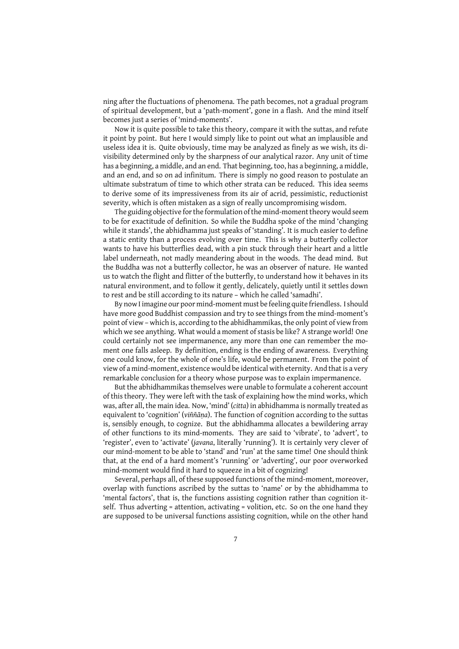ning after the fluctuations of phenomena. The path becomes, not a gradual program of spiritual development, but a 'path-moment', gone in a flash. And the mind itself becomes just a series of 'mind-moments'.

Now it is quite possible to take this theory, compare it with the suttas, and refute it point by point. But here I would simply like to point out what an implausible and useless idea it is. Quite obviously, time may be analyzed as finely as we wish, its divisibility determined only by the sharpness of our analytical razor. Any unit of time has a beginning, a middle, and an end. That beginning, too, has a beginning, a middle, and an end, and so on ad infinitum. There is simply no good reason to postulate an ultimate substratum of time to which other strata can be reduced. This idea seems to derive some of its impressiveness from its air of acrid, pessimistic, reductionist severity, which is often mistaken as a sign of really uncompromising wisdom.

The guiding objective for the formulation of the mind-moment theory would seem to be for exactitude of definition. So while the Buddha spoke of the mind 'changing while it stands', the abhidhamma just speaks of 'standing'. It is much easier to define a static entity than a process evolving over time. This is why a butterfly collector wants to have his butterflies dead, with a pin stuck through their heart and a little label underneath, not madly meandering about in the woods. The dead mind. But the Buddha was not a butterfly collector, he was an observer of nature. He wanted us to watch the flight and flitter of the butterfly, to understand how it behaves in its natural environment, and to follow it gently, delicately, quietly until it settles down to rest and be still according to its nature – which he called 'samadhi'.

By nowI imagine our poor mind-moment must be feeling quite friendless. I should have more good Buddhist compassion and try to see things from the mind-moment's point of view – which is, according to the abhidhammikas, the only point of view from which we see anything. What would a moment of stasis be like? A strange world! One could certainly not see impermanence, any more than one can remember the moment one falls asleep. By definition, ending is the ending of awareness. Everything one could know, for the whole of one's life, would be permanent. From the point of view of a mind-moment, existence would be identical with eternity. And that is a very remarkable conclusion for a theory whose purpose was to explain impermanence.

But the abhidhammikas themselves were unable to formulate a coherent account of this theory. They were left with the task of explaining how the mind works, which was, after all, the main idea. Now, 'mind' (*citta*) in abhidhamma is normally treated as equivalent to 'cognition' (*viññāṇa*). The function of cognition according to the suttas is, sensibly enough, to cognize. But the abhidhamma allocates a bewildering array of other functions to its mind-moments. They are said to 'vibrate', to 'advert', to 'register', even to 'activate' (*javana*, literally 'running'). It is certainly very clever of our mind-moment to be able to 'stand' and 'run' at the same time! One should think that, at the end of a hard moment's 'running' or 'adverting', our poor overworked mind-moment would find it hard to squeeze in a bit of cognizing!

Several, perhaps all, of these supposed functions of the mind-moment, moreover, overlap with functions ascribed by the suttas to 'name' or by the abhidhamma to 'mental factors', that is, the functions assisting cognition rather than cognition itself. Thus adverting = attention, activating = volition, etc. So on the one hand they are supposed to be universal functions assisting cognition, while on the other hand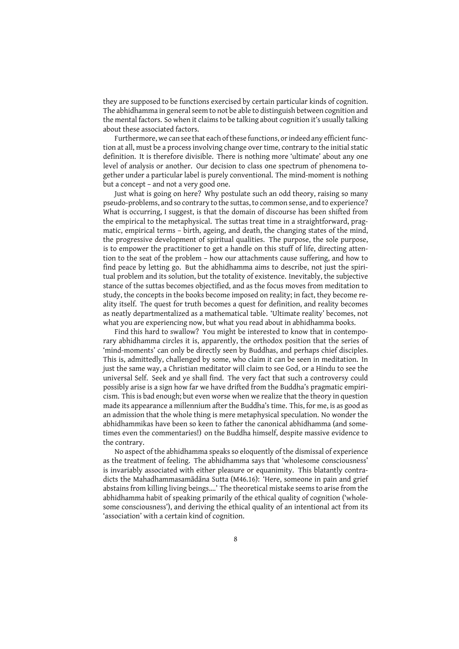they are supposed to be functions exercised by certain particular kinds of cognition. The abhidhamma in general seem to not be able to distinguish between cognition and the mental factors. So when it claims to be talking about cognition it's usually talking about these associated factors.

Furthermore, we can see that each of these functions, or indeed any efficient function at all, must be a process involving change over time, contrary to the initial static definition. It is therefore divisible. There is nothing more 'ultimate' about any one level of analysis or another. Our decision to class one spectrum of phenomena together under a particular label is purely conventional. The mind-moment is nothing but a concept – and not a very good one.

Just what is going on here? Why postulate such an odd theory, raising so many pseudo-problems, and so contrary to the suttas, to common sense, and to experience? What is occurring, I suggest, is that the domain of discourse has been shifted from the empirical to the metaphysical. The suttas treat time in a straightforward, pragmatic, empirical terms – birth, ageing, and death, the changing states of the mind, the progressive development of spiritual qualities. The purpose, the sole purpose, is to empower the practitioner to get a handle on this stuff of life, directing attention to the seat of the problem – how our attachments cause suffering, and how to find peace by letting go. But the abhidhamma aims to describe, not just the spiritual problem and its solution, but the totality of existence. Inevitably, the subjective stance of the suttas becomes objectified, and as the focus moves from meditation to study, the concepts in the books become imposed on reality; in fact, they become reality itself. The quest for truth becomes a quest for definition, and reality becomes as neatly departmentalized as a mathematical table. 'Ultimate reality' becomes, not what you are experiencing now, but what you read about in abhidhamma books.

Find this hard to swallow? You might be interested to know that in contemporary abhidhamma circles it is, apparently, the orthodox position that the series of 'mind-moments' can only be directly seen by Buddhas, and perhaps chief disciples. This is, admittedly, challenged by some, who claim it can be seen in meditation. In just the same way, a Christian meditator will claim to see God, or a Hindu to see the universal Self. Seek and ye shall find. The very fact that such a controversy could possibly arise is a sign how far we have drifted from the Buddha's pragmatic empiricism. This is bad enough; but even worse when we realize that the theory in question made its appearance a millennium after the Buddha's time. This, for me, is as good as an admission that the whole thing is mere metaphysical speculation. No wonder the abhidhammikas have been so keen to father the canonical abhidhamma (and sometimes even the commentaries!) on the Buddha himself, despite massive evidence to the contrary.

No aspect of the abhidhamma speaks so eloquently of the dismissal of experience as the treatment of feeling. The abhidhamma says that 'wholesome consciousness' is invariably associated with either pleasure or equanimity. This blatantly contradicts the Mahadhammasamādāna Sutta (M46.16): 'Here, someone in pain and grief abstains from killing living beings….' The theoretical mistake seems to arise from the abhidhamma habit of speaking primarily of the ethical quality of cognition ('wholesome consciousness'), and deriving the ethical quality of an intentional act from its 'association' with a certain kind of cognition.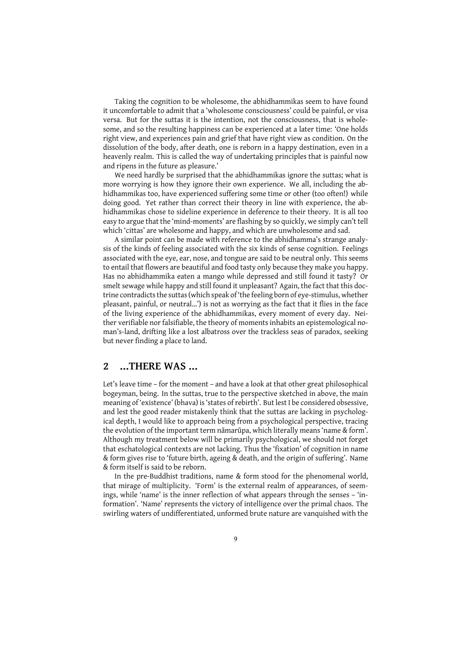Taking the cognition to be wholesome, the abhidhammikas seem to have found it uncomfortable to admit that a 'wholesome consciousness' could be painful, or visa versa. But for the suttas it is the intention, not the consciousness, that is wholesome, and so the resulting happiness can be experienced at a later time: 'One holds right view, and experiences pain and grief that have right view as condition. On the dissolution of the body, after death, one is reborn in a happy destination, even in a heavenly realm. This is called the way of undertaking principles that is painful now and ripens in the future as pleasure.'

We need hardly be surprised that the abhidhammikas ignore the suttas; what is more worrying is how they ignore their own experience. We all, including the abhidhammikas too, have experienced suffering some time or other (too often!) while doing good. Yet rather than correct their theory in line with experience, the abhidhammikas chose to sideline experience in deference to their theory. It is all too easy to argue that the 'mind-moments' are flashing by so quickly, we simply can't tell which 'cittas' are wholesome and happy, and which are unwholesome and sad.

A similar point can be made with reference to the abhidhamma's strange analysis of the kinds of feeling associated with the six kinds of sense cognition. Feelings associated with the eye, ear, nose, and tongue are said to be neutral only. This seems to entail that flowers are beautiful and food tasty only because they make you happy. Has no abhidhammika eaten a mango while depressed and still found it tasty? Or smelt sewage while happy and still found it unpleasant? Again, the fact that this doctrine contradicts the suttas (which speak of 'the feeling born of eye-stimulus, whether pleasant, painful, or neutral…') is not as worrying as the fact that it flies in the face of the living experience of the abhidhammikas, every moment of every day. Neither verifiable nor falsifiable, the theory of moments inhabits an epistemological noman's-land, drifting like a lost albatross over the trackless seas of paradox, seeking but never finding a place to land.

# **2 …THERE WAS …**

Let's leave time – for the moment – and have a look at that other great philosophical bogeyman, being. In the suttas, true to the perspective sketched in above, the main meaning of 'existence' (bhava) is 'states of rebirth'. But lest I be considered obsessive, and lest the good reader mistakenly think that the suttas are lacking in psychological depth, I would like to approach being from a psychological perspective, tracing the evolution of the important term nāmarūpa, which literally means 'name & form'. Although my treatment below will be primarily psychological, we should not forget that eschatological contexts are not lacking. Thus the 'fixation' of cognition in name & form gives rise to 'future birth, ageing & death, and the origin of suffering'. Name & form itself is said to be reborn.

In the pre-Buddhist traditions, name & form stood for the phenomenal world, that mirage of multiplicity. 'Form' is the external realm of appearances, of seemings, while 'name' is the inner reflection of what appears through the senses – 'information'. 'Name' represents the victory of intelligence over the primal chaos. The swirling waters of undifferentiated, unformed brute nature are vanquished with the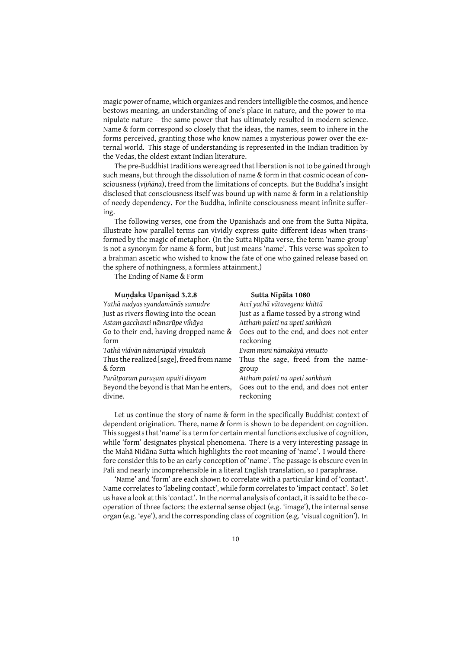magic power of name, which organizes and renders intelligible the cosmos, and hence bestows meaning, an understanding of one's place in nature, and the power to manipulate nature – the same power that has ultimately resulted in modern science. Name & form correspond so closely that the ideas, the names, seem to inhere in the forms perceived, granting those who know names a mysterious power over the external world. This stage of understanding is represented in the Indian tradition by the Vedas, the oldest extant Indian literature.

The pre-Buddhist traditions were agreed that liberation is not to be gained through such means, but through the dissolution of name & form in that cosmic ocean of consciousness (*vijñāna*), freed from the limitations of concepts. But the Buddha's insight disclosed that consciousness itself was bound up with name & form in a relationship of needy dependency. For the Buddha, infinite consciousness meant infinite suffering.

The following verses, one from the Upanishads and one from the Sutta Nipāta, illustrate how parallel terms can vividly express quite different ideas when transformed by the magic of metaphor. (In the Sutta Nipāta verse, the term 'name-group' is not a synonym for name & form, but just means 'name'. This verse was spoken to a brahman ascetic who wished to know the fate of one who gained release based on the sphere of nothingness, a formless attainment.)

The Ending of Name & Form

| Mundaka Upanisad 3.2.8                    | Sutta Nipāta 1080                       |
|-------------------------------------------|-----------------------------------------|
| Yathā nadyas syandamānās samudre          | Accī yathā vātavegena khittā            |
| Just as rivers flowing into the ocean     | Just as a flame tossed by a strong wind |
| Astam gacchanti nāmarūpe vihāya           | Attham paleti na upeti sankham          |
| Go to their end, having dropped name &    | Goes out to the end, and does not enter |
| form                                      | reckoning                               |
| Tathā vidvān nāmarūpād vimuktaḥ           | Evam munī nāmakāyā vimutto              |
| Thus the realized [sage], freed from name | Thus the sage, freed from the name-     |
| & form                                    | group                                   |
| Parātparam puruṣam upaiti divyam          | Attham paleti na upeti sankham          |
| Beyond the beyond is that Man he enters,  | Goes out to the end, and does not enter |
| divine.                                   | reckoning                               |
|                                           |                                         |

Let us continue the story of name & form in the specifically Buddhist context of dependent origination. There, name & form is shown to be dependent on cognition. This suggests that 'name' is a term for certain mental functions exclusive of cognition, while 'form' designates physical phenomena. There is a very interesting passage in the Mahā Nidāna Sutta which highlights the root meaning of 'name'. I would therefore consider this to be an early conception of 'name'. The passage is obscure even in Pali and nearly incomprehensible in a literal English translation, so I paraphrase.

'Name' and 'form' are each shown to correlate with a particular kind of 'contact'. Name correlates to 'labeling contact', while form correlates to 'impact contact'. So let us have a look at this 'contact'. In the normal analysis of contact, it is said to be the cooperation of three factors: the external sense object (e.g. 'image'), the internal sense organ (e.g. 'eye'), and the corresponding class of cognition (e.g. 'visual cognition'). In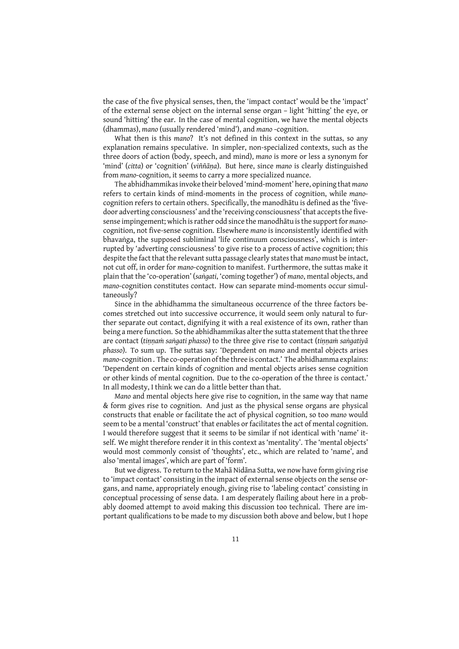the case of the five physical senses, then, the 'impact contact' would be the 'impact' of the external sense object on the internal sense organ – light 'hitting' the eye, or sound 'hitting' the ear. In the case of mental cognition, we have the mental objects (dhammas), *mano* (usually rendered 'mind'), and *mano* -cognition.

What then is this *mano*? It's not defined in this context in the suttas, so any explanation remains speculative. In simpler, non-specialized contexts, such as the three doors of action (body, speech, and mind), *mano* is more or less a synonym for 'mind' (*citta*) or 'cognition' (*viññāṇa*). But here, since *mano* is clearly distinguished from *mano*-cognition, it seems to carry a more specialized nuance.

The abhidhammikas invoke their beloved 'mind-moment' here, opining that *mano* refers to certain kinds of mind-moments in the process of cognition, while *mano*cognition refers to certain others. Specifically, the manodhātu is defined as the 'fivedoor adverting consciousness' and the 'receiving consciousness' that accepts the fivesense impingement; which is rather odd since the manodhātu is the support for *mano*cognition, not five-sense cognition. Elsewhere *mano* is inconsistently identified with bhavaṅga, the supposed subliminal 'life continuum consciousness', which is interrupted by 'adverting consciousness' to give rise to a process of active cognition; this despite the fact that the relevant sutta passage clearly states that *mano* must be intact, not cut off, in order for *mano*-cognition to manifest. Furthermore, the suttas make it plain that the 'co-operation' (*saṅgati*, 'coming together') of *mano*, mental objects, and *mano*-cognition constitutes contact. How can separate mind-moments occur simultaneously?

Since in the abhidhamma the simultaneous occurrence of the three factors becomes stretched out into successive occurrence, it would seem only natural to further separate out contact, dignifying it with a real existence of its own, rather than being a mere function. So the abhidhammikas alter the sutta statement that the three are contact (*tiṇṇaṁ saṅgati phasso*) to the three give rise to contact (*tiṇṇaṁ saṅgatiyā phasso*). To sum up. The suttas say: 'Dependent on *mano* and mental objects arises *mano*-cognition . The co-operation of the three is contact.' The abhidhamma explains: 'Dependent on certain kinds of cognition and mental objects arises sense cognition or other kinds of mental cognition. Due to the co-operation of the three is contact.' In all modesty, I think we can do a little better than that.

*Mano* and mental objects here give rise to cognition, in the same way that name & form gives rise to cognition. And just as the physical sense organs are physical constructs that enable or facilitate the act of physical cognition, so too *mano* would seem to be a mental 'construct' that enables or facilitates the act of mental cognition. I would therefore suggest that it seems to be similar if not identical with 'name' itself. We might therefore render it in this context as 'mentality'. The 'mental objects' would most commonly consist of 'thoughts', etc., which are related to 'name', and also 'mental images', which are part of 'form'.

But we digress. To return to the Mahā Nidāna Sutta, we now have form giving rise to 'impact contact' consisting in the impact of external sense objects on the sense organs, and name, appropriately enough, giving rise to 'labeling contact' consisting in conceptual processing of sense data. I am desperately flailing about here in a probably doomed attempt to avoid making this discussion too technical. There are important qualifications to be made to my discussion both above and below, but I hope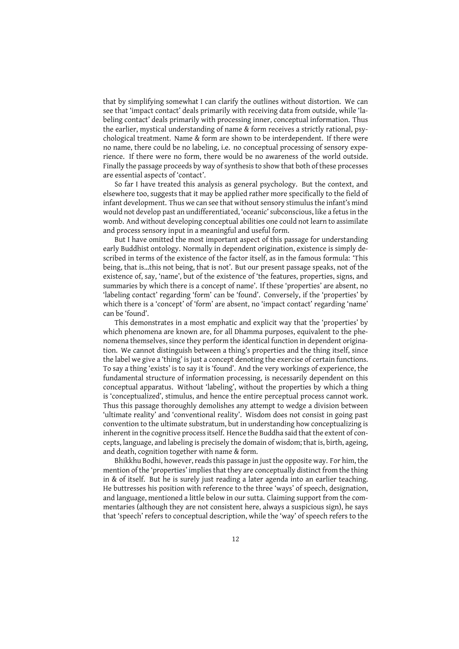that by simplifying somewhat I can clarify the outlines without distortion. We can see that 'impact contact' deals primarily with receiving data from outside, while 'labeling contact' deals primarily with processing inner, conceptual information. Thus the earlier, mystical understanding of name & form receives a strictly rational, psychological treatment. Name & form are shown to be interdependent. If there were no name, there could be no labeling, i.e. no conceptual processing of sensory experience. If there were no form, there would be no awareness of the world outside. Finally the passage proceeds by way of synthesis to show that both of these processes are essential aspects of 'contact'.

So far I have treated this analysis as general psychology. But the context, and elsewhere too, suggests that it may be applied rather more specifically to the field of infant development. Thus we can see that without sensory stimulus the infant's mind would not develop past an undifferentiated, 'oceanic' subconscious, like a fetus in the womb. And without developing conceptual abilities one could not learn to assimilate and process sensory input in a meaningful and useful form.

But I have omitted the most important aspect of this passage for understanding early Buddhist ontology. Normally in dependent origination, existence is simply described in terms of the existence of the factor itself, as in the famous formula: 'This being, that is…this not being, that is not'. But our present passage speaks, not of the existence of, say, 'name', but of the existence of 'the features, properties, signs, and summaries by which there is a concept of name'. If these 'properties' are absent, no 'labeling contact' regarding 'form' can be 'found'. Conversely, if the 'properties' by which there is a 'concept' of 'form' are absent, no 'impact contact' regarding 'name' can be 'found'.

This demonstrates in a most emphatic and explicit way that the 'properties' by which phenomena are known are, for all Dhamma purposes, equivalent to the phenomena themselves, since they perform the identical function in dependent origination. We cannot distinguish between a thing's properties and the thing itself, since the label we give a 'thing' is just a concept denoting the exercise of certain functions. To say a thing 'exists' is to say it is 'found'. And the very workings of experience, the fundamental structure of information processing, is necessarily dependent on this conceptual apparatus. Without 'labeling', without the properties by which a thing is 'conceptualized', stimulus, and hence the entire perceptual process cannot work. Thus this passage thoroughly demolishes any attempt to wedge a division between 'ultimate reality' and 'conventional reality'. Wisdom does not consist in going past convention to the ultimate substratum, but in understanding how conceptualizing is inherent in the cognitive process itself. Hence the Buddha said that the extent of concepts, language, and labeling is precisely the domain of wisdom; that is, birth, ageing, and death, cognition together with name & form.

Bhikkhu Bodhi, however, reads this passage in just the opposite way. For him, the mention of the 'properties' implies that they are conceptually distinct from the thing in & of itself. But he is surely just reading a later agenda into an earlier teaching. He buttresses his position with reference to the three 'ways' of speech, designation, and language, mentioned a little below in our sutta. Claiming support from the commentaries (although they are not consistent here, always a suspicious sign), he says that 'speech' refers to conceptual description, while the 'way' of speech refers to the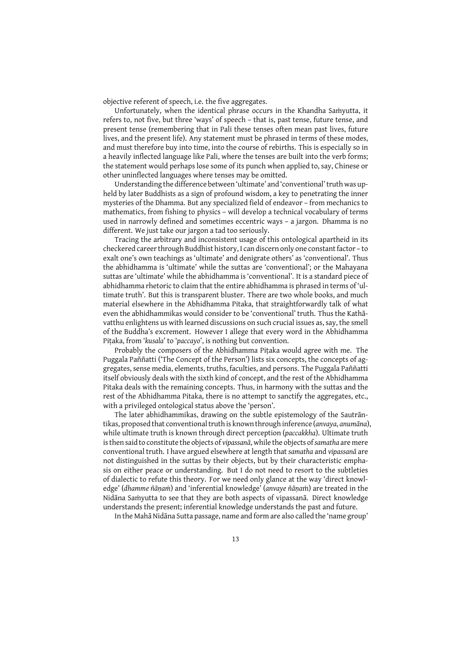objective referent of speech, i.e. the five aggregates.

Unfortunately, when the identical phrase occurs in the Khandha Saṁyutta, it refers to, not five, but three 'ways' of speech – that is, past tense, future tense, and present tense (remembering that in Pali these tenses often mean past lives, future lives, and the present life). Any statement must be phrased in terms of these modes, and must therefore buy into time, into the course of rebirths. This is especially so in a heavily inflected language like Pali, where the tenses are built into the verb forms; the statement would perhaps lose some of its punch when applied to, say, Chinese or other uninflected languages where tenses may be omitted.

Understanding the difference between 'ultimate' and 'conventional' truth was upheld by later Buddhists as a sign of profound wisdom, a key to penetrating the inner mysteries of the Dhamma. But any specialized field of endeavor – from mechanics to mathematics, from fishing to physics – will develop a technical vocabulary of terms used in narrowly defined and sometimes eccentric ways – a jargon. Dhamma is no different. We just take our jargon a tad too seriously.

Tracing the arbitrary and inconsistent usage of this ontological apartheid in its checkered career through Buddhist history, I can discern only one constant factor – to exalt one's own teachings as 'ultimate' and denigrate others' as 'conventional'. Thus the abhidhamma is 'ultimate' while the suttas are 'conventional'; or the Mahayana suttas are 'ultimate' while the abhidhamma is 'conventional'. It is a standard piece of abhidhamma rhetoric to claim that the entire abhidhamma is phrased in terms of 'ultimate truth'. But this is transparent bluster. There are two whole books, and much material elsewhere in the Abhidhamma Pitaka, that straightforwardly talk of what even the abhidhammikas would consider to be 'conventional' truth. Thus the Kathāvatthu enlightens us with learned discussions on such crucial issues as, say, the smell of the Buddha's excrement. However I allege that every word in the Abhidhamma Piṭaka, from '*kusala*' to '*paccayo*', is nothing but convention.

Probably the composers of the Abhidhamma Piṭaka would agree with me. The Puggala Paññatti ('The Concept of the Person') lists six concepts, the concepts of aggregates, sense media, elements, truths, faculties, and persons. The Puggala Paññatti itself obviously deals with the sixth kind of concept, and the rest of the Abhidhamma Pitaka deals with the remaining concepts. Thus, in harmony with the suttas and the rest of the Abhidhamma Pitaka, there is no attempt to sanctify the aggregates, etc., with a privileged ontological status above the 'person'.

The later abhidhammikas, drawing on the subtle epistemology of the Sautrāntikas, proposed that conventional truth is known through inference (*anvaya*, *anumāna*), while ultimate truth is known through direct perception (*paccakkha*). Ultimate truth is then said to constitute the objects of *vipassanā*, while the objects of*samatha* are mere conventional truth. I have argued elsewhere at length that *samatha* and *vipassanā* are not distinguished in the suttas by their objects, but by their characteristic emphasis on either peace or understanding. But I do not need to resort to the subtleties of dialectic to refute this theory. For we need only glance at the way 'direct knowledge' (*dhamme ñāṇaṁ*) and 'inferential knowledge' (*anvaye ñāṇa*ṁ) are treated in the Nidāna Saṁyutta to see that they are both aspects of vipassanā. Direct knowledge understands the present; inferential knowledge understands the past and future.

In the Mahā Nidāna Sutta passage, name and form are also called the 'name group'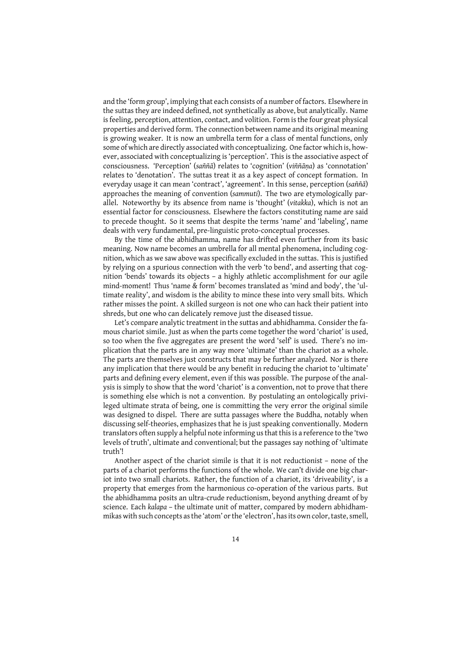and the 'form group', implying that each consists of a number of factors. Elsewhere in the suttas they are indeed defined, not synthetically as above, but analytically. Name is feeling, perception, attention, contact, and volition. Form is the four great physical properties and derived form. The connection between name and its original meaning is growing weaker. It is now an umbrella term for a class of mental functions, only some of which are directly associated with conceptualizing. One factor which is, however, associated with conceptualizing is 'perception'. This is the associative aspect of consciousness. 'Perception' (*saññā*) relates to 'cognition' (*viññāṇa*) as 'connotation' relates to 'denotation'. The suttas treat it as a key aspect of concept formation. In everyday usage it can mean 'contract', 'agreement'. In this sense, perception (*saññā*) approaches the meaning of convention (*sammuti*). The two are etymologically parallel. Noteworthy by its absence from name is 'thought' (*vitakka*), which is not an essential factor for consciousness. Elsewhere the factors constituting name are said to precede thought. So it seems that despite the terms 'name' and 'labeling', name deals with very fundamental, pre-linguistic proto-conceptual processes.

By the time of the abhidhamma, name has drifted even further from its basic meaning. Now name becomes an umbrella for all mental phenomena, including cognition, which as we saw above was specifically excluded in the suttas. This is justified by relying on a spurious connection with the verb 'to bend', and asserting that cognition 'bends' towards its objects – a highly athletic accomplishment for our agile mind-moment! Thus 'name & form' becomes translated as 'mind and body', the 'ultimate reality', and wisdom is the ability to mince these into very small bits. Which rather misses the point. A skilled surgeon is not one who can hack their patient into shreds, but one who can delicately remove just the diseased tissue.

Let's compare analytic treatment in the suttas and abhidhamma. Consider the famous chariot simile. Just as when the parts come together the word 'chariot' is used, so too when the five aggregates are present the word 'self' is used. There's no implication that the parts are in any way more 'ultimate' than the chariot as a whole. The parts are themselves just constructs that may be further analyzed. Nor is there any implication that there would be any benefit in reducing the chariot to 'ultimate' parts and defining every element, even if this was possible. The purpose of the analysis is simply to show that the word 'chariot' is a convention, not to prove that there is something else which is not a convention. By postulating an ontologically privileged ultimate strata of being, one is committing the very error the original simile was designed to dispel. There are sutta passages where the Buddha, notably when discussing self-theories, emphasizes that he is just speaking conventionally. Modern translators often supply a helpful note informing us that this is a reference to the 'two levels of truth', ultimate and conventional; but the passages say nothing of 'ultimate truth'!

Another aspect of the chariot simile is that it is not reductionist – none of the parts of a chariot performs the functions of the whole. We can't divide one big chariot into two small chariots. Rather, the function of a chariot, its 'driveability', is a property that emerges from the harmonious co-operation of the various parts. But the abhidhamma posits an ultra-crude reductionism, beyond anything dreamt of by science. Each *kalapa* – the ultimate unit of matter, compared by modern abhidhammikas with such concepts as the 'atom' or the 'electron', has its own color, taste, smell,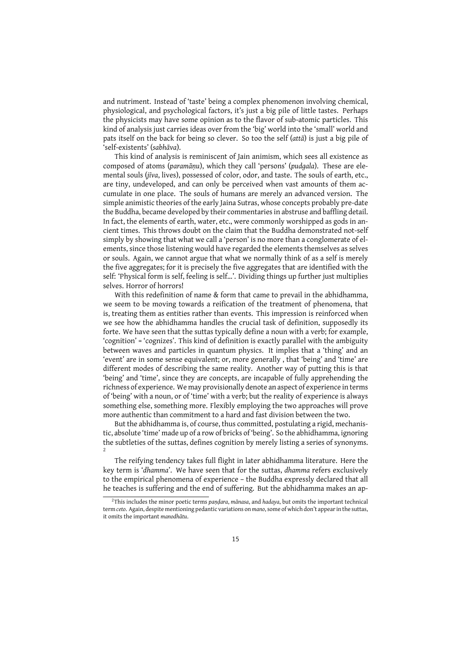and nutriment. Instead of 'taste' being a complex phenomenon involving chemical, physiological, and psychological factors, it's just a big pile of little tastes. Perhaps the physicists may have some opinion as to the flavor of sub-atomic particles. This kind of analysis just carries ideas over from the 'big' world into the 'small' world and pats itself on the back for being so clever. So too the self (*attā*) is just a big pile of 'self-existents' (*sabhāva*).

This kind of analysis is reminiscent of Jain animism, which sees all existence as composed of atoms (*paramāṇu*), which they call 'persons' (*pudgala*). These are elemental souls (*jīva*, lives), possessed of color, odor, and taste. The souls of earth, etc., are tiny, undeveloped, and can only be perceived when vast amounts of them accumulate in one place. The souls of humans are merely an advanced version. The simple animistic theories of the early Jaina Sutras, whose concepts probably pre-date the Buddha, became developed by their commentaries in abstruse and baffling detail. In fact, the elements of earth, water, etc., were commonly worshipped as gods in ancient times. This throws doubt on the claim that the Buddha demonstrated not-self simply by showing that what we call a 'person' is no more than a conglomerate of elements, since those listening would have regarded the elements themselves as selves or souls. Again, we cannot argue that what we normally think of as a self is merely the five aggregates; for it is precisely the five aggregates that are identified with the self: 'Physical form is self, feeling is self…'. Dividing things up further just multiplies selves. Horror of horrors!

With this redefinition of name & form that came to prevail in the abhidhamma, we seem to be moving towards a reification of the treatment of phenomena, that is, treating them as entities rather than events. This impression is reinforced when we see how the abhidhamma handles the crucial task of definition, supposedly its forte. We have seen that the suttas typically define a noun with a verb; for example, 'cognition' = 'cognizes'. This kind of definition is exactly parallel with the ambiguity between waves and particles in quantum physics. It implies that a 'thing' and an 'event' are in some sense equivalent; or, more generally , that 'being' and 'time' are different modes of describing the same reality. Another way of putting this is that 'being' and 'time', since they are concepts, are incapable of fully apprehending the richness of experience. We may provisionally denote an aspect of experience in terms of 'being' with a noun, or of 'time' with a verb; but the reality of experience is always something else, something more. Flexibly employing the two approaches will prove more authentic than commitment to a hard and fast division between the two.

But the abhidhamma is, of course, thus committed, postulating a rigid, mechanistic, absolute 'time' made up of a row of bricks of 'being'. So the abhidhamma, ignoring the subtleties of the suttas, defines cognition by merely listing a series of synonyms. 2

The reifying tendency takes full flight in later abhidhamma literature. Here the key term is '*dhamma*'. We have seen that for the suttas, *dhamma* refers exclusively to the empirical phenomena of experience – the Buddha expressly declared that all he teaches is suffering and the end of suffering. But the abhidhamma makes an ap-

<sup>2</sup>This includes the minor poetic terms *paṇḍara*, *mānasa*, and *hadaya*, but omits the important technical term *ceto*. Again, despite mentioning pedantic variations on *mano*, some of which don't appear in the suttas, it omits the important *manodhātu*.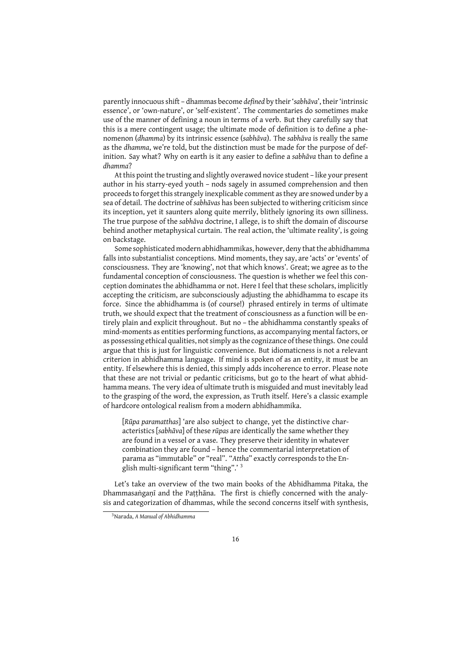parently innocuous shift – dhammas become *defined* by their '*sabhāva*', their 'intrinsic essence', or 'own-nature', or 'self-existent'. The commentaries do sometimes make use of the manner of defining a noun in terms of a verb. But they carefully say that this is a mere contingent usage; the ultimate mode of definition is to define a phenomenon (*dhamma*) by its intrinsic essence (*sabhāva*). The *sabhāva* is really the same as the *dhamma*, we're told, but the distinction must be made for the purpose of definition. Say what? Why on earth is it any easier to define a *sabhāva* than to define a *dhamma*?

At this point the trusting and slightly overawed novice student – like your present author in his starry-eyed youth – nods sagely in assumed comprehension and then proceeds to forget this strangely inexplicable comment as they are snowed under by a sea of detail. The doctrine of *sabhāvas* has been subjected to withering criticism since its inception, yet it saunters along quite merrily, blithely ignoring its own silliness. The true purpose of the *sabhāva* doctrine, I allege, is to shift the domain of discourse behind another metaphysical curtain. The real action, the 'ultimate reality', is going on backstage.

Some sophisticated modern abhidhammikas, however, deny that the abhidhamma falls into substantialist conceptions. Mind moments, they say, are 'acts' or 'events' of consciousness. They are 'knowing', not that which knows'. Great; we agree as to the fundamental conception of consciousness. The question is whether we feel this conception dominates the abhidhamma or not. Here I feel that these scholars, implicitly accepting the criticism, are subconsciously adjusting the abhidhamma to escape its force. Since the abhidhamma is (of course!) phrased entirely in terms of ultimate truth, we should expect that the treatment of consciousness as a function will be entirely plain and explicit throughout. But no – the abhidhamma constantly speaks of mind-moments as entities performing functions, as accompanying mental factors, or as possessing ethical qualities, not simply as the cognizance of these things. One could argue that this is just for linguistic convenience. But idiomaticness is not a relevant criterion in abhidhamma language. If mind is spoken of as an entity, it must be an entity. If elsewhere this is denied, this simply adds incoherence to error. Please note that these are not trivial or pedantic criticisms, but go to the heart of what abhidhamma means. The very idea of ultimate truth is misguided and must inevitably lead to the grasping of the word, the expression, as Truth itself. Here's a classic example of hardcore ontological realism from a modern abhidhammika.

[*Rūpa paramatthas*] 'are also subject to change, yet the distinctive characteristics [*sabhāva*] of these *rūpas* are identically the same whether they are found in a vessel or a vase. They preserve their identity in whatever combination they are found – hence the commentarial interpretation of parama as "immutable" or "real". "*Attha*" exactly corresponds to the English multi-significant term "thing".' <sup>3</sup>

Let's take an overview of the two main books of the Abhidhamma Pitaka, the Dhammasaṅgaṇī and the Paṭṭhāna. The first is chiefly concerned with the analysis and categorization of dhammas, while the second concerns itself with synthesis,

<sup>3</sup>Narada, *A Manual of Abhidhamma*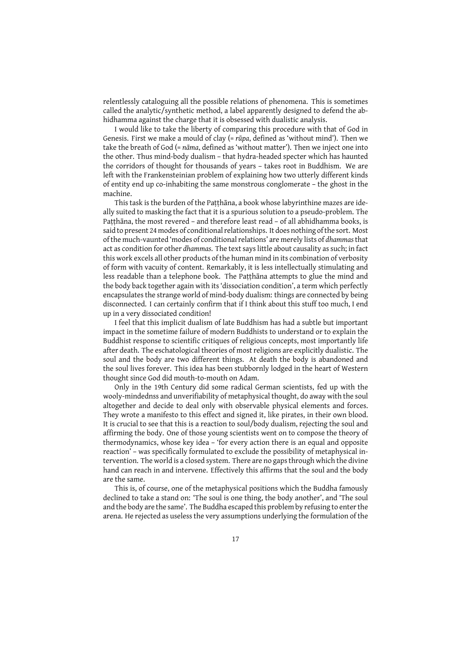relentlessly cataloguing all the possible relations of phenomena. This is sometimes called the analytic/synthetic method, a label apparently designed to defend the abhidhamma against the charge that it is obsessed with dualistic analysis.

I would like to take the liberty of comparing this procedure with that of God in Genesis. First we make a mould of clay (= *rūpa*, defined as 'without mind'). Then we take the breath of God (= *nāma*, defined as 'without matter'). Then we inject one into the other. Thus mind-body dualism – that hydra-headed specter which has haunted the corridors of thought for thousands of years – takes root in Buddhism. We are left with the Frankensteinian problem of explaining how two utterly different kinds of entity end up co-inhabiting the same monstrous conglomerate – the ghost in the machine.

This task is the burden of the Paṭṭhāna, a book whose labyrinthine mazes are ideally suited to masking the fact that it is a spurious solution to a pseudo-problem. The Paṭṭhāna, the most revered – and therefore least read – of all abhidhamma books, is said to present 24 modes of conditional relationships. It does nothing of the sort. Most of the much-vaunted 'modes of conditional relations' are merely lists of *dhammas*that act as condition for other *dhammas*. The text says little about causality as such; in fact this work excels all other products of the human mind in its combination of verbosity of form with vacuity of content. Remarkably, it is less intellectually stimulating and less readable than a telephone book. The Paṭṭhāna attempts to glue the mind and the body back together again with its 'dissociation condition', a term which perfectly encapsulates the strange world of mind-body dualism: things are connected by being disconnected. I can certainly confirm that if I think about this stuff too much, I end up in a very dissociated condition!

I feel that this implicit dualism of late Buddhism has had a subtle but important impact in the sometime failure of modern Buddhists to understand or to explain the Buddhist response to scientific critiques of religious concepts, most importantly life after death. The eschatological theories of most religions are explicitly dualistic. The soul and the body are two different things. At death the body is abandoned and the soul lives forever. This idea has been stubbornly lodged in the heart of Western thought since God did mouth-to-mouth on Adam.

Only in the 19th Century did some radical German scientists, fed up with the wooly-mindednss and unverifiability of metaphysical thought, do away with the soul altogether and decide to deal only with observable physical elements and forces. They wrote a manifesto to this effect and signed it, like pirates, in their own blood. It is crucial to see that this is a reaction to soul/body dualism, rejecting the soul and affirming the body. One of those young scientists went on to compose the theory of thermodynamics, whose key idea – 'for every action there is an equal and opposite reaction' – was specifically formulated to exclude the possibility of metaphysical intervention. The world is a closed system. There are no gaps through which the divine hand can reach in and intervene. Effectively this affirms that the soul and the body are the same.

This is, of course, one of the metaphysical positions which the Buddha famously declined to take a stand on: 'The soul is one thing, the body another', and 'The soul and the body are the same'. The Buddha escaped this problem by refusing to enter the arena. He rejected as useless the very assumptions underlying the formulation of the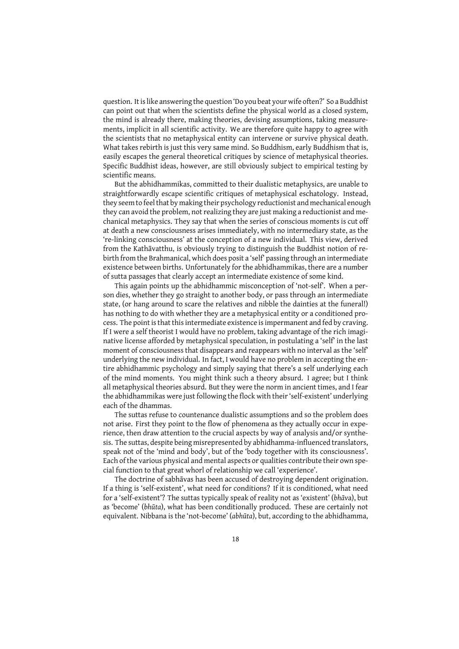question. It is like answering the question 'Do you beat your wife often?' So a Buddhist can point out that when the scientists define the physical world as a closed system, the mind is already there, making theories, devising assumptions, taking measurements, implicit in all scientific activity. We are therefore quite happy to agree with the scientists that no metaphysical entity can intervene or survive physical death. What takes rebirth is just this very same mind. So Buddhism, early Buddhism that is, easily escapes the general theoretical critiques by science of metaphysical theories. Specific Buddhist ideas, however, are still obviously subject to empirical testing by scientific means.

But the abhidhammikas, committed to their dualistic metaphysics, are unable to straightforwardly escape scientific critiques of metaphysical eschatology. Instead, they seem to feel that by making their psychology reductionist and mechanical enough they can avoid the problem, not realizing they are just making a reductionist and mechanical metaphysics. They say that when the series of conscious moments is cut off at death a new consciousness arises immediately, with no intermediary state, as the 're-linking consciousness' at the conception of a new individual. This view, derived from the Kathāvatthu, is obviously trying to distinguish the Buddhist notion of rebirth from the Brahmanical, which does posit a 'self' passing through an intermediate existence between births. Unfortunately for the abhidhammikas, there are a number of sutta passages that clearly accept an intermediate existence of some kind.

This again points up the abhidhammic misconception of 'not-self'. When a person dies, whether they go straight to another body, or pass through an intermediate state, (or hang around to scare the relatives and nibble the dainties at the funeral!) has nothing to do with whether they are a metaphysical entity or a conditioned process. The point is that this intermediate existence is impermanent and fed by craving. If I were a self theorist I would have no problem, taking advantage of the rich imaginative license afforded by metaphysical speculation, in postulating a 'self' in the last moment of consciousness that disappears and reappears with no interval as the 'self' underlying the new individual. In fact, I would have no problem in accepting the entire abhidhammic psychology and simply saying that there's a self underlying each of the mind moments. You might think such a theory absurd. I agree; but I think all metaphysical theories absurd. But they were the norm in ancient times, and I fear the abhidhammikas were just following the flock with their 'self-existent' underlying each of the dhammas.

The suttas refuse to countenance dualistic assumptions and so the problem does not arise. First they point to the flow of phenomena as they actually occur in experience, then draw attention to the crucial aspects by way of analysis and/or synthesis. The suttas, despite being misrepresented by abhidhamma-influenced translators, speak not of the 'mind and body', but of the 'body together with its consciousness'. Each of the various physical and mental aspects or qualities contribute their own special function to that great whorl of relationship we call 'experience'.

The doctrine of sabhāvas has been accused of destroying dependent origination. If a thing is 'self-existent', what need for conditions? If it is conditioned, what need for a 'self-existent'? The suttas typically speak of reality not as 'existent' (*bhāv*a), but as 'become' (*bhūta*), what has been conditionally produced. These are certainly not equivalent. Nibbana is the 'not-become' (*abhūta*), but, according to the abhidhamma,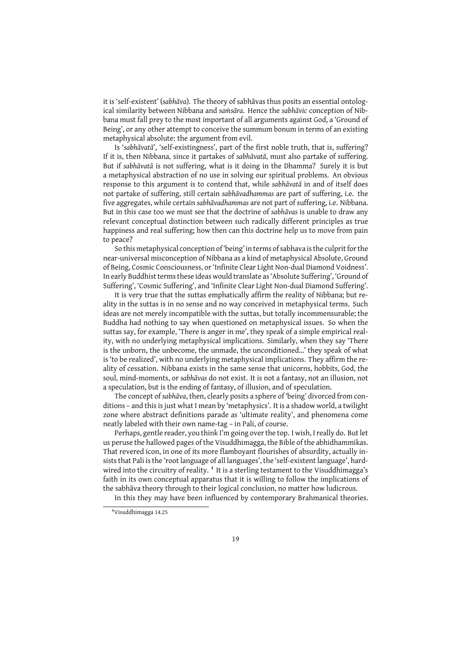it is 'self-existent' (*sabhāva*). The theory of sabhāvas thus posits an essential ontological similarity between Nibbana and *saṁsāra*. Hence the *sabhāvic* conception of Nibbana must fall prey to the most important of all arguments against God, a 'Ground of Being', or any other attempt to conceive the summum bonum in terms of an existing metaphysical absolute: the argument from evil.

Is '*sabhāvatā*', 'self-existingness', part of the first noble truth, that is, suffering? If it is, then Nibbana, since it partakes of *sabhāvatā*, must also partake of suffering. But if *sabhāvatā* is not suffering, what is it doing in the Dhamma? Surely it is but a metaphysical abstraction of no use in solving our spiritual problems. An obvious response to this argument is to contend that, while *sabhāvatā* in and of itself does not partake of suffering, still certain *sabhāvadhammas* are part of suffering, i.e. the five aggregates, while certain *sabhāvadhammas* are not part of suffering, i.e. Nibbana. But in this case too we must see that the doctrine of *sabhāvas* is unable to draw any relevant conceptual distinction between such radically different principles as true happiness and real suffering; how then can this doctrine help us to move from pain to peace?

So this metaphysical conception of 'being' in terms of sabhava is the culprit for the near-universal misconception of Nibbana as a kind of metaphysical Absolute, Ground of Being, Cosmic Consciousness, or 'Infinite Clear Light Non-dual Diamond Voidness'. In early Buddhist terms these ideas would translate as 'Absolute Suffering', 'Ground of Suffering', 'Cosmic Suffering', and 'Infinite Clear Light Non-dual Diamond Suffering'.

It is very true that the suttas emphatically affirm the reality of Nibbana; but reality in the suttas is in no sense and no way conceived in metaphysical terms. Such ideas are not merely incompatible with the suttas, but totally incommensurable; the Buddha had nothing to say when questioned on metaphysical issues. So when the suttas say, for example, 'There is anger in me', they speak of a simple empirical reality, with no underlying metaphysical implications. Similarly, when they say 'There is the unborn, the unbecome, the unmade, the unconditioned…' they speak of what is 'to be realized', with no underlying metaphysical implications. They affirm the reality of cessation. Nibbana exists in the same sense that unicorns, hobbits, God, the soul, mind-moments, or *sabhāvas* do not exist. It is not a fantasy, not an illusion, not a speculation, but is the ending of fantasy, of illusion, and of speculation.

The concept of *sabhāva*, then, clearly posits a sphere of 'being' divorced from conditions – and this is just what I mean by 'metaphysics'. It is a shadow world, a twilight zone where abstract definitions parade as 'ultimate reality', and phenomena come neatly labeled with their own name-tag – in Pali, of course.

Perhaps, gentle reader, you think I'm going over the top. I wish, I really do. But let us peruse the hallowed pages of the Visuddhimagga, the Bible of the abhidhammikas. That revered icon, in one of its more flamboyant flourishes of absurdity, actually insists that Pali is the 'root language of all languages', the 'self-existent language', hardwired into the circuitry of reality. <sup>4</sup> It is a sterling testament to the Visuddhimagga's faith in its own conceptual apparatus that it is willing to follow the implications of the sabhāva theory through to their logical conclusion, no matter how ludicrous.

In this they may have been influenced by contemporary Brahmanical theories.

<sup>4</sup>Visuddhimagga 14.25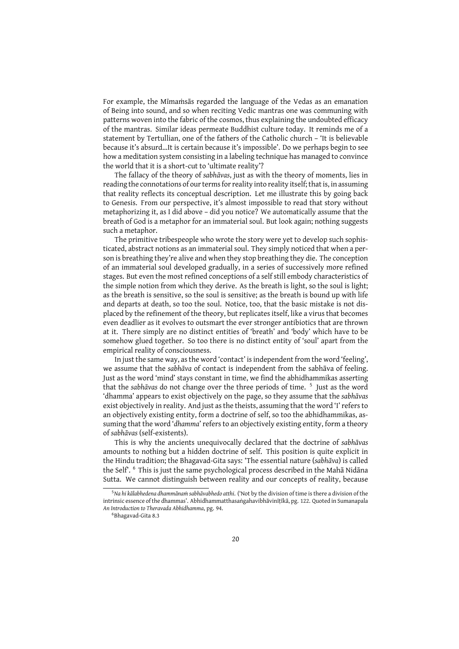For example, the Mīmaṁsās regarded the language of the Vedas as an emanation of Being into sound, and so when reciting Vedic mantras one was communing with patterns woven into the fabric of the cosmos, thus explaining the undoubted efficacy of the mantras. Similar ideas permeate Buddhist culture today. It reminds me of a statement by Tertullian, one of the fathers of the Catholic church – 'It is believable because it's absurd…It is certain because it's impossible'. Do we perhaps begin to see how a meditation system consisting in a labeling technique has managed to convince the world that it is a short-cut to 'ultimate reality'?

The fallacy of the theory of *sabhāvas*, just as with the theory of moments, lies in reading the connotations of our terms for reality into reality itself; that is, in assuming that reality reflects its conceptual description. Let me illustrate this by going back to Genesis. From our perspective, it's almost impossible to read that story without metaphorizing it, as I did above – did you notice? We automatically assume that the breath of God is a metaphor for an immaterial soul. But look again; nothing suggests such a metaphor.

The primitive tribespeople who wrote the story were yet to develop such sophisticated, abstract notions as an immaterial soul. They simply noticed that when a person is breathing they're alive and when they stop breathing they die. The conception of an immaterial soul developed gradually, in a series of successively more refined stages. But even the most refined conceptions of a self still embody characteristics of the simple notion from which they derive. As the breath is light, so the soul is light; as the breath is sensitive, so the soul is sensitive; as the breath is bound up with life and departs at death, so too the soul. Notice, too, that the basic mistake is not displaced by the refinement of the theory, but replicates itself, like a virus that becomes even deadlier as it evolves to outsmart the ever stronger antibiotics that are thrown at it. There simply are no distinct entities of 'breath' and 'body' which have to be somehow glued together. So too there is no distinct entity of 'soul' apart from the empirical reality of consciousness.

In just the same way, as the word 'contact' is independent from the word 'feeling', we assume that the *sabhāva* of contact is independent from the sabhāva of feeling. Just as the word 'mind' stays constant in time, we find the abhidhammikas asserting that the sabhāvas do not change over the three periods of time. <sup>5</sup> Just as the word 'dhamma' appears to exist objectively on the page, so they assume that the *sabhāvas* exist objectively in reality. And just as the theists, assuming that the word 'I' refers to an objectively existing entity, form a doctrine of self, so too the abhidhammikas, assuming that the word '*dhamma*' refers to an objectively existing entity, form a theory of *sabhāvas* (self-existents).

This is why the ancients unequivocally declared that the doctrine of *sabhāvas* amounts to nothing but a hidden doctrine of self. This position is quite explicit in the Hindu tradition; the Bhagavad-Gita says: 'The essential nature (*sabhāva*) is called the Self'. <sup>6</sup> This is just the same psychological process described in the Mahā Nidāna Sutta. We cannot distinguish between reality and our concepts of reality, because

<sup>5</sup>*Na hi kālabhedena dhammānaṁ sabhāvabhedo atthi*. ('Not by the division of time is there a division of the intrinsic essence of the dhammas'. Abhidhammatthasaṅgahavibhāvinīṭīkā, pg. 122. Quoted in Sumanapala *An Introduction to Theravada Abhidhamma*, pg. 94.

<sup>6</sup>Bhagavad-Gita 8.3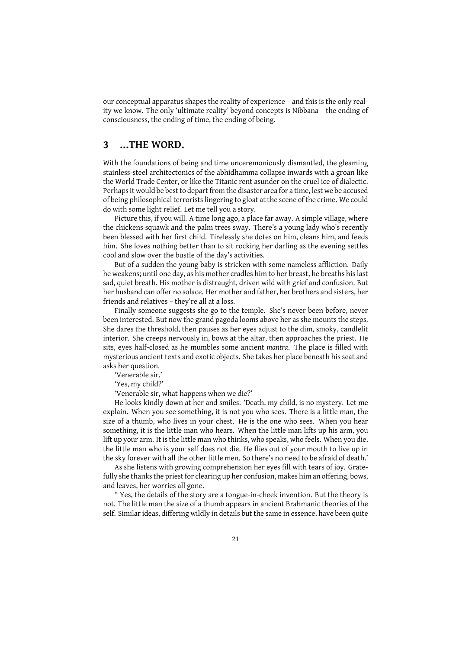our conceptual apparatus shapes the reality of experience – and this is the only reality we know. The only 'ultimate reality' beyond concepts is Nibbana – the ending of consciousness, the ending of time, the ending of being.

## **3 …THE WORD.**

With the foundations of being and time unceremoniously dismantled, the gleaming stainless-steel architectonics of the abhidhamma collapse inwards with a groan like the World Trade Center, or like the Titanic rent asunder on the cruel ice of dialectic. Perhaps it would be best to depart from the disaster area for a time, lest we be accused of being philosophical terrorists lingering to gloat at the scene of the crime. We could do with some light relief. Let me tell you a story.

Picture this, if you will. A time long ago, a place far away. A simple village, where the chickens squawk and the palm trees sway. There's a young lady who's recently been blessed with her first child. Tirelessly she dotes on him, cleans him, and feeds him. She loves nothing better than to sit rocking her darling as the evening settles cool and slow over the bustle of the day's activities.

But of a sudden the young baby is stricken with some nameless affliction. Daily he weakens; until one day, as his mother cradles him to her breast, he breaths his last sad, quiet breath. His mother is distraught, driven wild with grief and confusion. But her husband can offer no solace. Her mother and father, her brothers and sisters, her friends and relatives – they're all at a loss.

Finally someone suggests she go to the temple. She's never been before, never been interested. But now the grand pagoda looms above her as she mounts the steps. She dares the threshold, then pauses as her eyes adjust to the dim, smoky, candlelit interior. She creeps nervously in, bows at the altar, then approaches the priest. He sits, eyes half-closed as he mumbles some ancient *mantra*. The place is filled with mysterious ancient texts and exotic objects. She takes her place beneath his seat and asks her question.

'Venerable sir.'

'Yes, my child?'

'Venerable sir, what happens when we die?'

He looks kindly down at her and smiles. 'Death, my child, is no mystery. Let me explain. When you see something, it is not you who sees. There is a little man, the size of a thumb, who lives in your chest. He is the one who sees. When you hear something, it is the little man who hears. When the little man lifts up his arm, you lift up your arm. It is the little man who thinks, who speaks, who feels. When you die, the little man who is your self does not die. He flies out of your mouth to live up in the sky forever with all the other little men. So there's no need to be afraid of death.'

As she listens with growing comprehension her eyes fill with tears of joy. Gratefully she thanks the priest for clearing up her confusion, makes him an offering, bows, and leaves, her worries all gone.

" Yes, the details of the story are a tongue-in-cheek invention. But the theory is not. The little man the size of a thumb appears in ancient Brahmanic theories of the self. Similar ideas, differing wildly in details but the same in essence, have been quite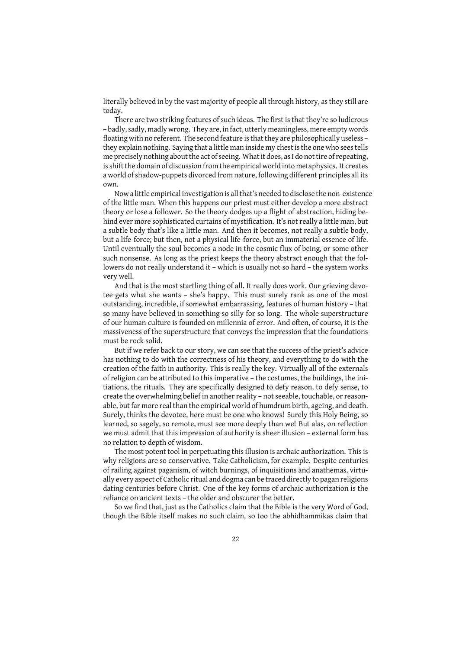literally believed in by the vast majority of people all through history, as they still are today.

There are two striking features of such ideas. The first is that they're so ludicrous – badly, sadly, madly wrong. They are, in fact, utterly meaningless, mere empty words floating with no referent. The second feature is that they are philosophically useless – they explain nothing. Saying that a little man inside my chest is the one who sees tells me precisely nothing about the act of seeing. What it does, as I do not tire of repeating, is shift the domain of discussion from the empirical world into metaphysics. It creates a world of shadow-puppets divorced from nature, following different principles all its own.

Now a little empirical investigation is all that's needed to disclose the non-existence of the little man. When this happens our priest must either develop a more abstract theory or lose a follower. So the theory dodges up a flight of abstraction, hiding behind ever more sophisticated curtains of mystification. It's not really a little man, but a subtle body that's like a little man. And then it becomes, not really a subtle body, but a life-force; but then, not a physical life-force, but an immaterial essence of life. Until eventually the soul becomes a node in the cosmic flux of being, or some other such nonsense. As long as the priest keeps the theory abstract enough that the followers do not really understand it – which is usually not so hard – the system works very well.

And that is the most startling thing of all. It really does work. Our grieving devotee gets what she wants – she's happy. This must surely rank as one of the most outstanding, incredible, if somewhat embarrassing, features of human history – that so many have believed in something so silly for so long. The whole superstructure of our human culture is founded on millennia of error. And often, of course, it is the massiveness of the superstructure that conveys the impression that the foundations must be rock solid.

But if we refer back to our story, we can see that the success of the priest's advice has nothing to do with the correctness of his theory, and everything to do with the creation of the faith in authority. This is really the key. Virtually all of the externals of religion can be attributed to this imperative – the costumes, the buildings, the initiations, the rituals. They are specifically designed to defy reason, to defy sense, to create the overwhelming belief in another reality – not seeable, touchable, or reasonable, but far more real than the empirical world of humdrum birth, ageing, and death. Surely, thinks the devotee, here must be one who knows! Surely this Holy Being, so learned, so sagely, so remote, must see more deeply than we! But alas, on reflection we must admit that this impression of authority is sheer illusion – external form has no relation to depth of wisdom.

The most potent tool in perpetuating this illusion is archaic authorization. This is why religions are so conservative. Take Catholicism, for example. Despite centuries of railing against paganism, of witch burnings, of inquisitions and anathemas, virtually every aspect of Catholic ritual and dogma can be traced directly to pagan religions dating centuries before Christ. One of the key forms of archaic authorization is the reliance on ancient texts – the older and obscurer the better.

So we find that, just as the Catholics claim that the Bible is the very Word of God, though the Bible itself makes no such claim, so too the abhidhammikas claim that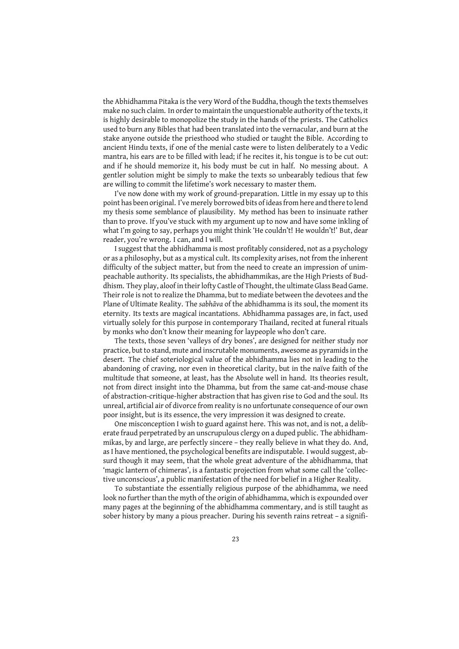the Abhidhamma Pitaka is the very Word of the Buddha, though the texts themselves make no such claim. In order to maintain the unquestionable authority of the texts, it is highly desirable to monopolize the study in the hands of the priests. The Catholics used to burn any Bibles that had been translated into the vernacular, and burn at the stake anyone outside the priesthood who studied or taught the Bible. According to ancient Hindu texts, if one of the menial caste were to listen deliberately to a Vedic mantra, his ears are to be filled with lead; if he recites it, his tongue is to be cut out: and if he should memorize it, his body must be cut in half. No messing about. A gentler solution might be simply to make the texts so unbearably tedious that few are willing to commit the lifetime's work necessary to master them.

I've now done with my work of ground-preparation. Little in my essay up to this point has been original. I've merely borrowed bits of ideas from here and there to lend my thesis some semblance of plausibility. My method has been to insinuate rather than to prove. If you've stuck with my argument up to now and have some inkling of what I'm going to say, perhaps you might think 'He couldn't! He wouldn't!' But, dear reader, you're wrong. I can, and I will.

I suggest that the abhidhamma is most profitably considered, not as a psychology or as a philosophy, but as a mystical cult. Its complexity arises, not from the inherent difficulty of the subject matter, but from the need to create an impression of unimpeachable authority. Its specialists, the abhidhammikas, are the High Priests of Buddhism. They play, aloof in their lofty Castle of Thought, the ultimate Glass Bead Game. Their role is not to realize the Dhamma, but to mediate between the devotees and the Plane of Ultimate Reality. The *sabhāva* of the abhidhamma is its soul, the moment its eternity. Its texts are magical incantations. Abhidhamma passages are, in fact, used virtually solely for this purpose in contemporary Thailand, recited at funeral rituals by monks who don't know their meaning for laypeople who don't care.

The texts, those seven 'valleys of dry bones', are designed for neither study nor practice, but to stand, mute and inscrutable monuments, awesome as pyramids in the desert. The chief soteriological value of the abhidhamma lies not in leading to the abandoning of craving, nor even in theoretical clarity, but in the naïve faith of the multitude that someone, at least, has the Absolute well in hand. Its theories result, not from direct insight into the Dhamma, but from the same cat-and-mouse chase of abstraction-critique-higher abstraction that has given rise to God and the soul. Its unreal, artificial air of divorce from reality is no unfortunate consequence of our own poor insight, but is its essence, the very impression it was designed to create.

One misconception I wish to guard against here. This was not, and is not, a deliberate fraud perpetrated by an unscrupulous clergy on a duped public. The abhidhammikas, by and large, are perfectly sincere – they really believe in what they do. And, as I have mentioned, the psychological benefits are indisputable. I would suggest, absurd though it may seem, that the whole great adventure of the abhidhamma, that 'magic lantern of chimeras', is a fantastic projection from what some call the 'collective unconscious', a public manifestation of the need for belief in a Higher Reality.

To substantiate the essentially religious purpose of the abhidhamma, we need look no further than the myth of the origin of abhidhamma, which is expounded over many pages at the beginning of the abhidhamma commentary, and is still taught as sober history by many a pious preacher. During his seventh rains retreat – a signifi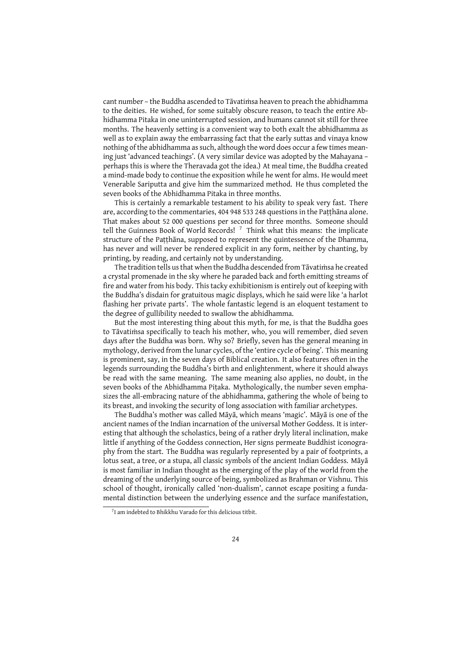cant number – the Buddha ascended to Tāvatiṁsa heaven to preach the abhidhamma to the deities. He wished, for some suitably obscure reason, to teach the entire Abhidhamma Pitaka in one uninterrupted session, and humans cannot sit still for three months. The heavenly setting is a convenient way to both exalt the abhidhamma as well as to explain away the embarrassing fact that the early suttas and vinaya know nothing of the abhidhamma as such, although the word does occur a few times meaning just 'advanced teachings'. (A very similar device was adopted by the Mahayana – perhaps this is where the Theravada got the idea.) At meal time, the Buddha created a mind-made body to continue the exposition while he went for alms. He would meet Venerable Sariputta and give him the summarized method. He thus completed the seven books of the Abhidhamma Pitaka in three months.

This is certainly a remarkable testament to his ability to speak very fast. There are, according to the commentaries, 404 948 533 248 questions in the Patthana alone. That makes about 52 000 questions per second for three months. Someone should tell the Guinness Book of World Records! <sup>7</sup> Think what this means: the implicate structure of the Paṭṭhāna, supposed to represent the quintessence of the Dhamma, has never and will never be rendered explicit in any form, neither by chanting, by printing, by reading, and certainly not by understanding.

The tradition tells us that when the Buddha descended from Tāvatiṁsa he created a crystal promenade in the sky where he paraded back and forth emitting streams of fire and water from his body. This tacky exhibitionism is entirely out of keeping with the Buddha's disdain for gratuitous magic displays, which he said were like 'a harlot flashing her private parts'. The whole fantastic legend is an eloquent testament to the degree of gullibility needed to swallow the abhidhamma.

But the most interesting thing about this myth, for me, is that the Buddha goes to Tāvatiṁsa specifically to teach his mother, who, you will remember, died seven days after the Buddha was born. Why so? Briefly, seven has the general meaning in mythology, derived from the lunar cycles, of the 'entire cycle of being'. This meaning is prominent, say, in the seven days of Biblical creation. It also features often in the legends surrounding the Buddha's birth and enlightenment, where it should always be read with the same meaning. The same meaning also applies, no doubt, in the seven books of the Abhidhamma Pitaka. Mythologically, the number seven emphasizes the all-embracing nature of the abhidhamma, gathering the whole of being to its breast, and invoking the security of long association with familiar archetypes.

The Buddha's mother was called Māyā, which means 'magic'. Māyā is one of the ancient names of the Indian incarnation of the universal Mother Goddess. It is interesting that although the scholastics, being of a rather dryly literal inclination, make little if anything of the Goddess connection, Her signs permeate Buddhist iconography from the start. The Buddha was regularly represented by a pair of footprints, a lotus seat, a tree, or a stupa, all classic symbols of the ancient Indian Goddess. Māyā is most familiar in Indian thought as the emerging of the play of the world from the dreaming of the underlying source of being, symbolized as Brahman or Vishnu. This school of thought, ironically called 'non-dualism', cannot escape positing a fundamental distinction between the underlying essence and the surface manifestation,

<sup>7</sup> I am indebted to Bhikkhu Varado for this delicious titbit.